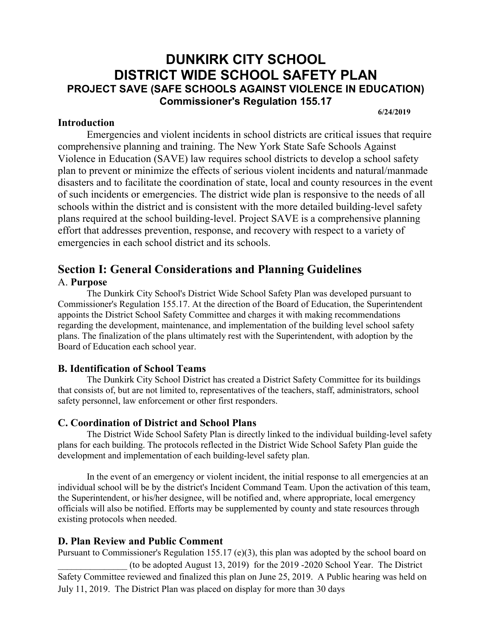# **DUNKIRK CITY SCHOOL DISTRICT WIDE SCHOOL SAFETY PLAN PROJECT SAVE (SAFE SCHOOLS AGAINST VIOLENCE IN EDUCATION) Commissioner's Regulation 155.17**

**6/24/2019**

#### **Introduction**

Emergencies and violent incidents in school districts are critical issues that require comprehensive planning and training. The New York State Safe Schools Against Violence in Education (SAVE) law requires school districts to develop a school safety plan to prevent or minimize the effects of serious violent incidents and natural/manmade disasters and to facilitate the coordination of state, local and county resources in the event of such incidents or emergencies. The district wide plan is responsive to the needs of all schools within the district and is consistent with the more detailed building-level safety plans required at the school building-level. Project SAVE is a comprehensive planning effort that addresses prevention, response, and recovery with respect to a variety of emergencies in each school district and its schools.

# **Section I: General Considerations and Planning Guidelines**  A. **Purpose**

The Dunkirk City School's District Wide School Safety Plan was developed pursuant to Commissioner's Regulation 155.17. At the direction of the Board of Education, the Superintendent appoints the District School Safety Committee and charges it with making recommendations regarding the development, maintenance, and implementation of the building level school safety plans. The finalization of the plans ultimately rest with the Superintendent, with adoption by the Board of Education each school year.

## **B. Identification of School Teams**

The Dunkirk City School District has created a District Safety Committee for its buildings that consists of, but are not limited to, representatives of the teachers, staff, administrators, school safety personnel, law enforcement or other first responders.

#### **C. Coordination of District and School Plans**

The District Wide School Safety Plan is directly linked to the individual building-level safety plans for each building. The protocols reflected in the District Wide School Safety Plan guide the development and implementation of each building-level safety plan.

In the event of an emergency or violent incident, the initial response to all emergencies at an individual school will be by the district's Incident Command Team. Upon the activation of this team, the Superintendent, or his/her designee, will be notified and, where appropriate, local emergency officials will also be notified. Efforts may be supplemented by county and state resources through existing protocols when needed.

## **D. Plan Review and Public Comment**

Pursuant to Commissioner's Regulation 155.17 (e)(3), this plan was adopted by the school board on \_\_\_\_\_\_\_\_\_\_\_\_\_\_\_ (to be adopted August 13, 2019) for the 2019 -2020 School Year. The District Safety Committee reviewed and finalized this plan on June 25, 2019. A Public hearing was held on July 11, 2019. The District Plan was placed on display for more than 30 days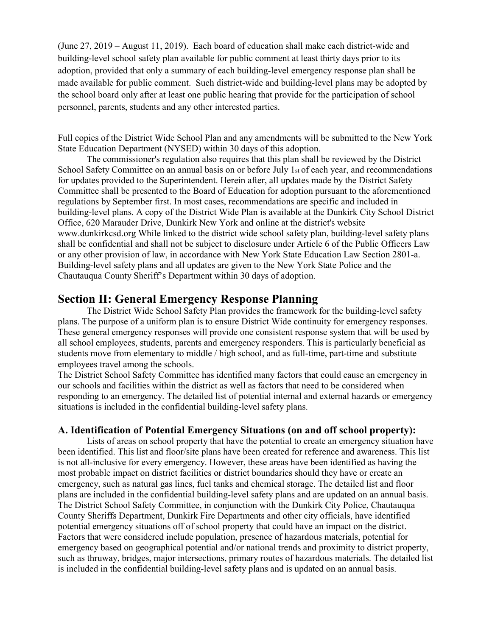(June 27, 2019 – August 11, 2019). Each board of education shall make each district-wide and building-level school safety plan available for public comment at least thirty days prior to its adoption, provided that only a summary of each building-level emergency response plan shall be made available for public comment. Such district-wide and building-level plans may be adopted by the school board only after at least one public hearing that provide for the participation of school personnel, parents, students and any other interested parties.

Full copies of the District Wide School Plan and any amendments will be submitted to the New York State Education Department (NYSED) within 30 days of this adoption.

The commissioner's regulation also requires that this plan shall be reviewed by the District School Safety Committee on an annual basis on or before July  $1<sub>st</sub>$  of each year, and recommendations for updates provided to the Superintendent. Herein after, all updates made by the District Safety Committee shall be presented to the Board of Education for adoption pursuant to the aforementioned regulations by September first. In most cases, recommendations are specific and included in building-level plans. A copy of the District Wide Plan is available at the Dunkirk City School District Office, 620 Marauder Drive, Dunkirk New York and online at the district's website www.dunkirkcsd.org While linked to the district wide school safety plan, building-level safety plans shall be confidential and shall not be subject to disclosure under Article 6 of the Public Officers Law or any other provision of law, in accordance with New York State Education Law Section 2801-a. Building-level safety plans and all updates are given to the New York State Police and the Chautauqua County Sheriff's Department within 30 days of adoption.

## **Section II: General Emergency Response Planning**

The District Wide School Safety Plan provides the framework for the building-level safety plans. The purpose of a uniform plan is to ensure District Wide continuity for emergency responses. These general emergency responses will provide one consistent response system that will be used by all school employees, students, parents and emergency responders. This is particularly beneficial as students move from elementary to middle / high school, and as full-time, part-time and substitute employees travel among the schools.

The District School Safety Committee has identified many factors that could cause an emergency in our schools and facilities within the district as well as factors that need to be considered when responding to an emergency. The detailed list of potential internal and external hazards or emergency situations is included in the confidential building-level safety plans.

#### **A. Identification of Potential Emergency Situations (on and off school property):**

Lists of areas on school property that have the potential to create an emergency situation have been identified. This list and floor/site plans have been created for reference and awareness. This list is not all-inclusive for every emergency. However, these areas have been identified as having the most probable impact on district facilities or district boundaries should they have or create an emergency, such as natural gas lines, fuel tanks and chemical storage. The detailed list and floor plans are included in the confidential building-level safety plans and are updated on an annual basis. The District School Safety Committee, in conjunction with the Dunkirk City Police, Chautauqua County Sheriffs Department, Dunkirk Fire Departments and other city officials, have identified potential emergency situations off of school property that could have an impact on the district. Factors that were considered include population, presence of hazardous materials, potential for emergency based on geographical potential and/or national trends and proximity to district property, such as thruway, bridges, major intersections, primary routes of hazardous materials. The detailed list is included in the confidential building-level safety plans and is updated on an annual basis.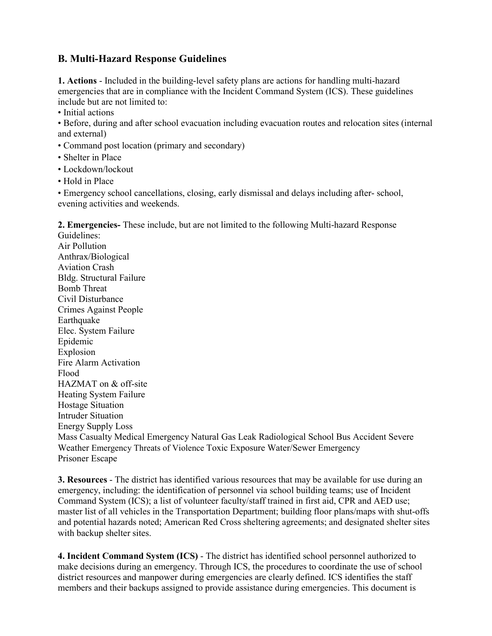## **B. Multi-Hazard Response Guidelines**

**1. Actions** - Included in the building-level safety plans are actions for handling multi-hazard emergencies that are in compliance with the Incident Command System (ICS). These guidelines include but are not limited to:

• Initial actions

• Before, during and after school evacuation including evacuation routes and relocation sites (internal and external)

- Command post location (primary and secondary)
- Shelter in Place
- Lockdown/lockout
- Hold in Place

• Emergency school cancellations, closing, early dismissal and delays including after- school, evening activities and weekends.

**2. Emergencies-** These include, but are not limited to the following Multi-hazard Response

Guidelines: Air Pollution Anthrax/Biological Aviation Crash Bldg. Structural Failure Bomb Threat Civil Disturbance Crimes Against People Earthquake Elec. System Failure Epidemic Explosion Fire Alarm Activation Flood HAZMAT on & off-site Heating System Failure Hostage Situation Intruder Situation Energy Supply Loss Mass Casualty Medical Emergency Natural Gas Leak Radiological School Bus Accident Severe Weather Emergency Threats of Violence Toxic Exposure Water/Sewer Emergency Prisoner Escape

**3. Resources** - The district has identified various resources that may be available for use during an emergency, including: the identification of personnel via school building teams; use of Incident Command System (ICS); a list of volunteer faculty/staff trained in first aid, CPR and AED use; master list of all vehicles in the Transportation Department; building floor plans/maps with shut-offs and potential hazards noted; American Red Cross sheltering agreements; and designated shelter sites with backup shelter sites.

**4. Incident Command System (ICS)** - The district has identified school personnel authorized to make decisions during an emergency. Through ICS, the procedures to coordinate the use of school district resources and manpower during emergencies are clearly defined. ICS identifies the staff members and their backups assigned to provide assistance during emergencies. This document is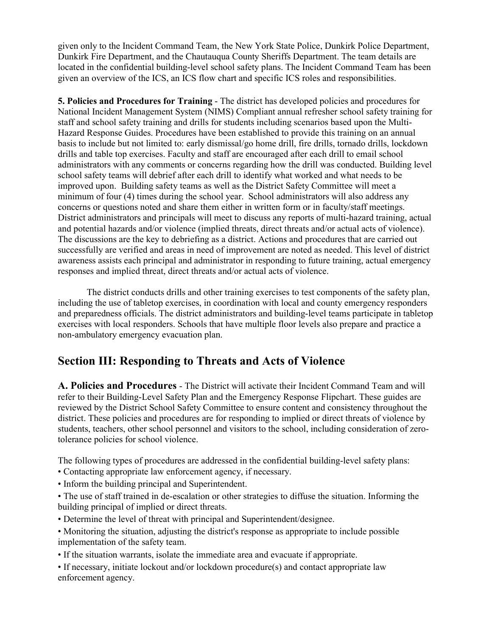given only to the Incident Command Team, the New York State Police, Dunkirk Police Department, Dunkirk Fire Department, and the Chautauqua County Sheriffs Department. The team details are located in the confidential building-level school safety plans. The Incident Command Team has been given an overview of the ICS, an ICS flow chart and specific ICS roles and responsibilities.

**5. Policies and Procedures for Training** - The district has developed policies and procedures for National Incident Management System (NIMS) Compliant annual refresher school safety training for staff and school safety training and drills for students including scenarios based upon the Multi-Hazard Response Guides. Procedures have been established to provide this training on an annual basis to include but not limited to: early dismissal/go home drill, fire drills, tornado drills, lockdown drills and table top exercises. Faculty and staff are encouraged after each drill to email school administrators with any comments or concerns regarding how the drill was conducted. Building level school safety teams will debrief after each drill to identify what worked and what needs to be improved upon. Building safety teams as well as the District Safety Committee will meet a minimum of four (4) times during the school year. School administrators will also address any concerns or questions noted and share them either in written form or in faculty/staff meetings. District administrators and principals will meet to discuss any reports of multi-hazard training, actual and potential hazards and/or violence (implied threats, direct threats and/or actual acts of violence). The discussions are the key to debriefing as a district. Actions and procedures that are carried out successfully are verified and areas in need of improvement are noted as needed. This level of district awareness assists each principal and administrator in responding to future training, actual emergency responses and implied threat, direct threats and/or actual acts of violence.

The district conducts drills and other training exercises to test components of the safety plan, including the use of tabletop exercises, in coordination with local and county emergency responders and preparedness officials. The district administrators and building-level teams participate in tabletop exercises with local responders. Schools that have multiple floor levels also prepare and practice a non-ambulatory emergency evacuation plan.

# **Section III: Responding to Threats and Acts of Violence**

**A. Policies and Procedures** - The District will activate their Incident Command Team and will refer to their Building-Level Safety Plan and the Emergency Response Flipchart. These guides are reviewed by the District School Safety Committee to ensure content and consistency throughout the district. These policies and procedures are for responding to implied or direct threats of violence by students, teachers, other school personnel and visitors to the school, including consideration of zerotolerance policies for school violence.

The following types of procedures are addressed in the confidential building-level safety plans:

- Contacting appropriate law enforcement agency, if necessary.
- Inform the building principal and Superintendent.
- The use of staff trained in de-escalation or other strategies to diffuse the situation. Informing the building principal of implied or direct threats.
- Determine the level of threat with principal and Superintendent/designee.
- Monitoring the situation, adjusting the district's response as appropriate to include possible implementation of the safety team.
- If the situation warrants, isolate the immediate area and evacuate if appropriate.
- If necessary, initiate lockout and/or lockdown procedure(s) and contact appropriate law enforcement agency.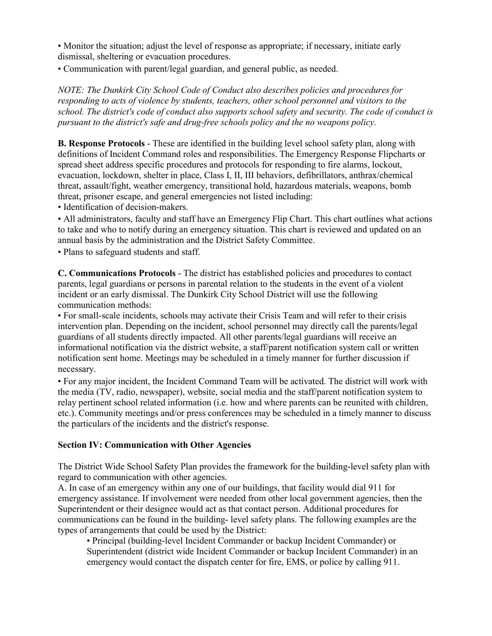• Monitor the situation; adjust the level of response as appropriate; if necessary, initiate early dismissal, sheltering or evacuation procedures.

• Communication with parent/legal guardian, and general public, as needed.

*NOTE: The Dunkirk City School Code of Conduct also describes policies and procedures for responding to acts of violence by students, teachers, other school personnel and visitors to the school. The district's code of conduct also supports school safety and security. The code of conduct is pursuant to the district's safe and drug-free schools policy and the no weapons policy.* 

**B. Response Protocols** - These are identified in the building level school safety plan, along with definitions of Incident Command roles and responsibilities. The Emergency Response Flipcharts or spread sheet address specific procedures and protocols for responding to fire alarms, lockout, evacuation, lockdown, shelter in place, Class I, II, III behaviors, defibrillators, anthrax/chemical threat, assault/fight, weather emergency, transitional hold, hazardous materials, weapons, bomb threat, prisoner escape, and general emergencies not listed including:

• Identification of decision-makers.

• All administrators, faculty and staff have an Emergency Flip Chart. This chart outlines what actions to take and who to notify during an emergency situation. This chart is reviewed and updated on an annual basis by the administration and the District Safety Committee.

• Plans to safeguard students and staff.

**C. Communications Protocols** - The district has established policies and procedures to contact parents, legal guardians or persons in parental relation to the students in the event of a violent incident or an early dismissal. The Dunkirk City School District will use the following communication methods:

• For small-scale incidents, schools may activate their Crisis Team and will refer to their crisis intervention plan. Depending on the incident, school personnel may directly call the parents/legal guardians of all students directly impacted. All other parents/legal guardians will receive an informational notification via the district website, a staff/parent notification system call or written notification sent home. Meetings may be scheduled in a timely manner for further discussion if necessary.

• For any major incident, the Incident Command Team will be activated. The district will work with the media (TV, radio, newspaper), website, social media and the staff/parent notification system to relay pertinent school related information (i.e. how and where parents can be reunited with children, etc.). Community meetings and/or press conferences may be scheduled in a timely manner to discuss the particulars of the incidents and the district's response.

#### **Section IV: Communication with Other Agencies**

The District Wide School Safety Plan provides the framework for the building-level safety plan with regard to communication with other agencies.

A. In case of an emergency within any one of our buildings, that facility would dial 911 for emergency assistance. If involvement were needed from other local government agencies, then the Superintendent or their designee would act as that contact person. Additional procedures for communications can be found in the building- level safety plans. The following examples are the types of arrangements that could be used by the District:

• Principal (building-level Incident Commander or backup Incident Commander) or Superintendent (district wide Incident Commander or backup Incident Commander) in an emergency would contact the dispatch center for fire, EMS, or police by calling 911.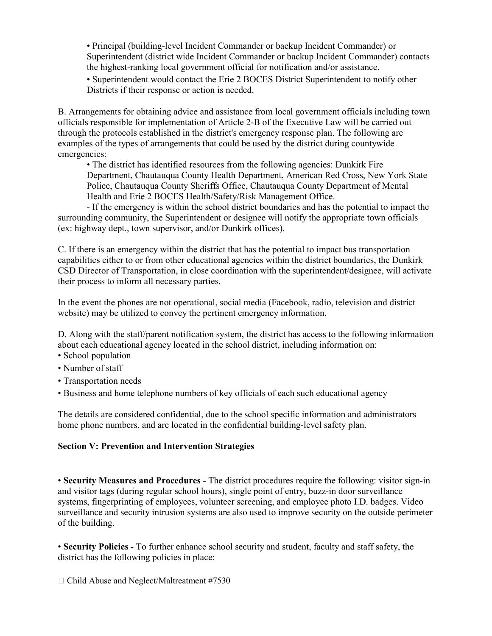• Principal (building-level Incident Commander or backup Incident Commander) or Superintendent (district wide Incident Commander or backup Incident Commander) contacts the highest-ranking local government official for notification and/or assistance.

• Superintendent would contact the Erie 2 BOCES District Superintendent to notify other Districts if their response or action is needed.

B. Arrangements for obtaining advice and assistance from local government officials including town officials responsible for implementation of Article 2-B of the Executive Law will be carried out through the protocols established in the district's emergency response plan. The following are examples of the types of arrangements that could be used by the district during countywide emergencies:

• The district has identified resources from the following agencies: Dunkirk Fire Department, Chautauqua County Health Department, American Red Cross, New York State Police, Chautauqua County Sheriffs Office, Chautauqua County Department of Mental Health and Erie 2 BOCES Health/Safety/Risk Management Office.

- If the emergency is within the school district boundaries and has the potential to impact the surrounding community, the Superintendent or designee will notify the appropriate town officials (ex: highway dept., town supervisor, and/or Dunkirk offices).

C. If there is an emergency within the district that has the potential to impact bus transportation capabilities either to or from other educational agencies within the district boundaries, the Dunkirk CSD Director of Transportation, in close coordination with the superintendent/designee, will activate their process to inform all necessary parties.

In the event the phones are not operational, social media (Facebook, radio, television and district website) may be utilized to convey the pertinent emergency information.

D. Along with the staff/parent notification system, the district has access to the following information about each educational agency located in the school district, including information on:

- School population
- Number of staff
- Transportation needs
- Business and home telephone numbers of key officials of each such educational agency

The details are considered confidential, due to the school specific information and administrators home phone numbers, and are located in the confidential building-level safety plan.

#### **Section V: Prevention and Intervention Strategies**

• **Security Measures and Procedures** - The district procedures require the following: visitor sign-in and visitor tags (during regular school hours), single point of entry, buzz-in door surveillance systems, fingerprinting of employees, volunteer screening, and employee photo I.D. badges. Video surveillance and security intrusion systems are also used to improve security on the outside perimeter of the building.

• **Security Policies** - To further enhance school security and student, faculty and staff safety, the district has the following policies in place:

 $\Box$  Child Abuse and Neglect/Maltreatment #7530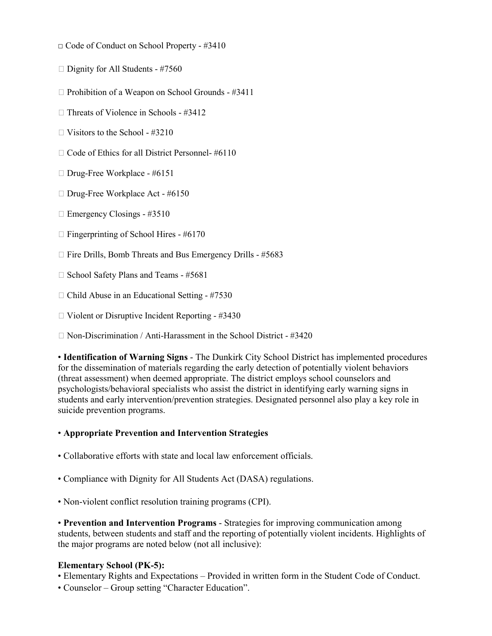- □ Code of Conduct on School Property #3410
- $\Box$  Dignity for All Students #7560
- $\Box$  Prohibition of a Weapon on School Grounds #3411
- $\Box$  Threats of Violence in Schools #3412
- $\Box$  Visitors to the School #3210
- $\Box$  Code of Ethics for all District Personnel- #6110
- □ Drug-Free Workplace #6151
- □ Drug-Free Workplace Act #6150
- $\Box$  Emergency Closings #3510
- $\Box$  Fingerprinting of School Hires #6170
- $\Box$  Fire Drills, Bomb Threats and Bus Emergency Drills #5683
- $\Box$  School Safety Plans and Teams #5681
- $\Box$  Child Abuse in an Educational Setting #7530
- $\Box$  Violent or Disruptive Incident Reporting #3430
- $\Box$  Non-Discrimination / Anti-Harassment in the School District #3420

• **Identification of Warning Signs** - The Dunkirk City School District has implemented procedures for the dissemination of materials regarding the early detection of potentially violent behaviors (threat assessment) when deemed appropriate. The district employs school counselors and psychologists/behavioral specialists who assist the district in identifying early warning signs in students and early intervention/prevention strategies. Designated personnel also play a key role in suicide prevention programs.

#### • **Appropriate Prevention and Intervention Strategies**

- Collaborative efforts with state and local law enforcement officials.
- Compliance with Dignity for All Students Act (DASA) regulations.
- Non-violent conflict resolution training programs (CPI).

• **Prevention and Intervention Programs** - Strategies for improving communication among students, between students and staff and the reporting of potentially violent incidents. Highlights of the major programs are noted below (not all inclusive):

#### **Elementary School (PK-5):**

- Elementary Rights and Expectations Provided in written form in the Student Code of Conduct.
- Counselor Group setting "Character Education".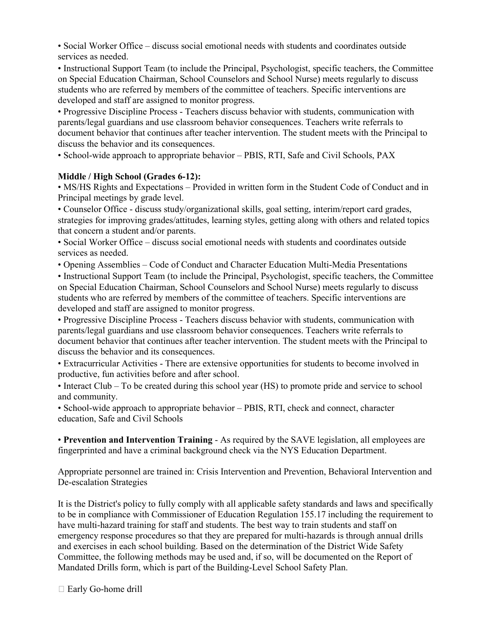• Social Worker Office – discuss social emotional needs with students and coordinates outside services as needed.

• Instructional Support Team (to include the Principal, Psychologist, specific teachers, the Committee on Special Education Chairman, School Counselors and School Nurse) meets regularly to discuss students who are referred by members of the committee of teachers. Specific interventions are developed and staff are assigned to monitor progress.

• Progressive Discipline Process - Teachers discuss behavior with students, communication with parents/legal guardians and use classroom behavior consequences. Teachers write referrals to document behavior that continues after teacher intervention. The student meets with the Principal to discuss the behavior and its consequences.

• School-wide approach to appropriate behavior – PBIS, RTI, Safe and Civil Schools, PAX

#### **Middle / High School (Grades 6-12):**

• MS/HS Rights and Expectations – Provided in written form in the Student Code of Conduct and in Principal meetings by grade level.

• Counselor Office - discuss study/organizational skills, goal setting, interim/report card grades, strategies for improving grades/attitudes, learning styles, getting along with others and related topics that concern a student and/or parents.

• Social Worker Office – discuss social emotional needs with students and coordinates outside services as needed.

• Opening Assemblies – Code of Conduct and Character Education Multi-Media Presentations

• Instructional Support Team (to include the Principal, Psychologist, specific teachers, the Committee on Special Education Chairman, School Counselors and School Nurse) meets regularly to discuss students who are referred by members of the committee of teachers. Specific interventions are developed and staff are assigned to monitor progress.

• Progressive Discipline Process - Teachers discuss behavior with students, communication with parents/legal guardians and use classroom behavior consequences. Teachers write referrals to document behavior that continues after teacher intervention. The student meets with the Principal to discuss the behavior and its consequences.

• Extracurricular Activities - There are extensive opportunities for students to become involved in productive, fun activities before and after school.

• Interact Club – To be created during this school year (HS) to promote pride and service to school and community.

• School-wide approach to appropriate behavior – PBIS, RTI, check and connect, character education, Safe and Civil Schools

• **Prevention and Intervention Training** - As required by the SAVE legislation, all employees are fingerprinted and have a criminal background check via the NYS Education Department.

Appropriate personnel are trained in: Crisis Intervention and Prevention, Behavioral Intervention and De-escalation Strategies

It is the District's policy to fully comply with all applicable safety standards and laws and specifically to be in compliance with Commissioner of Education Regulation 155.17 including the requirement to have multi-hazard training for staff and students. The best way to train students and staff on emergency response procedures so that they are prepared for multi-hazards is through annual drills and exercises in each school building. Based on the determination of the District Wide Safety Committee, the following methods may be used and, if so, will be documented on the Report of Mandated Drills form, which is part of the Building-Level School Safety Plan.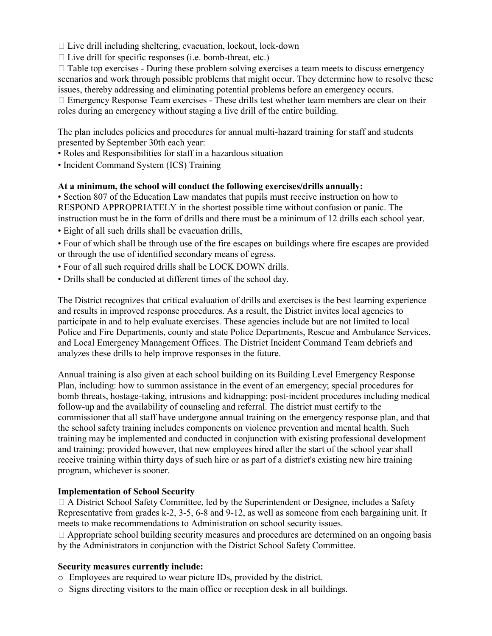$\Box$  Live drill including sheltering, evacuation, lockout, lock-down

 $\Box$  Live drill for specific responses (i.e. bomb-threat, etc.)

 $\Box$  Table top exercises - During these problem solving exercises a team meets to discuss emergency scenarios and work through possible problems that might occur. They determine how to resolve these issues, thereby addressing and eliminating potential problems before an emergency occurs.

 $\Box$  Emergency Response Team exercises - These drills test whether team members are clear on their roles during an emergency without staging a live drill of the entire building.

The plan includes policies and procedures for annual multi-hazard training for staff and students presented by September 30th each year:

- Roles and Responsibilities for staff in a hazardous situation
- Incident Command System (ICS) Training

#### **At a minimum, the school will conduct the following exercises/drills annually:**

• Section 807 of the Education Law mandates that pupils must receive instruction on how to RESPOND APPROPRIATELY in the shortest possible time without confusion or panic. The instruction must be in the form of drills and there must be a minimum of 12 drills each school year.

- Eight of all such drills shall be evacuation drills,
- Four of which shall be through use of the fire escapes on buildings where fire escapes are provided or through the use of identified secondary means of egress.
- Four of all such required drills shall be LOCK DOWN drills.
- Drills shall be conducted at different times of the school day.

The District recognizes that critical evaluation of drills and exercises is the best learning experience and results in improved response procedures. As a result, the District invites local agencies to participate in and to help evaluate exercises. These agencies include but are not limited to local Police and Fire Departments, county and state Police Departments, Rescue and Ambulance Services, and Local Emergency Management Offices. The District Incident Command Team debriefs and analyzes these drills to help improve responses in the future.

Annual training is also given at each school building on its Building Level Emergency Response Plan, including: how to summon assistance in the event of an emergency; special procedures for bomb threats, hostage-taking, intrusions and kidnapping; post-incident procedures including medical follow-up and the availability of counseling and referral. The district must certify to the commissioner that all staff have undergone annual training on the emergency response plan, and that the school safety training includes components on violence prevention and mental health. Such training may be implemented and conducted in conjunction with existing professional development and training; provided however, that new employees hired after the start of the school year shall receive training within thirty days of such hire or as part of a district's existing new hire training program, whichever is sooner.

#### **Implementation of School Security**

 A District School Safety Committee, led by the Superintendent or Designee, includes a Safety Representative from grades k-2, 3-5, 6-8 and 9-12, as well as someone from each bargaining unit. It meets to make recommendations to Administration on school security issues.

□ Appropriate school building security measures and procedures are determined on an ongoing basis by the Administrators in conjunction with the District School Safety Committee.

#### **Security measures currently include:**

- o Employees are required to wear picture IDs, provided by the district.
- o Signs directing visitors to the main office or reception desk in all buildings.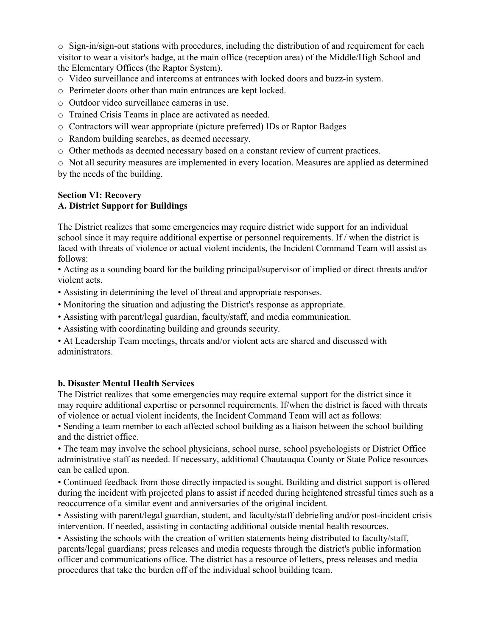$\circ$  Sign-in/sign-out stations with procedures, including the distribution of and requirement for each visitor to wear a visitor's badge, at the main office (reception area) of the Middle/High School and the Elementary Offices (the Raptor System).

- o Video surveillance and intercoms at entrances with locked doors and buzz-in system.
- o Perimeter doors other than main entrances are kept locked.
- o Outdoor video surveillance cameras in use.
- o Trained Crisis Teams in place are activated as needed.
- o Contractors will wear appropriate (picture preferred) IDs or Raptor Badges
- o Random building searches, as deemed necessary.
- o Other methods as deemed necessary based on a constant review of current practices.

o Not all security measures are implemented in every location. Measures are applied as determined by the needs of the building.

#### **Section VI: Recovery A. District Support for Buildings**

The District realizes that some emergencies may require district wide support for an individual school since it may require additional expertise or personnel requirements. If / when the district is faced with threats of violence or actual violent incidents, the Incident Command Team will assist as follows:

• Acting as a sounding board for the building principal/supervisor of implied or direct threats and/or violent acts.

- Assisting in determining the level of threat and appropriate responses.
- Monitoring the situation and adjusting the District's response as appropriate.
- Assisting with parent/legal guardian, faculty/staff, and media communication.
- Assisting with coordinating building and grounds security.

• At Leadership Team meetings, threats and/or violent acts are shared and discussed with administrators.

## **b. Disaster Mental Health Services**

The District realizes that some emergencies may require external support for the district since it may require additional expertise or personnel requirements. If/when the district is faced with threats of violence or actual violent incidents, the Incident Command Team will act as follows:

• Sending a team member to each affected school building as a liaison between the school building and the district office.

• The team may involve the school physicians, school nurse, school psychologists or District Office administrative staff as needed. If necessary, additional Chautauqua County or State Police resources can be called upon.

• Continued feedback from those directly impacted is sought. Building and district support is offered during the incident with projected plans to assist if needed during heightened stressful times such as a reoccurrence of a similar event and anniversaries of the original incident.

• Assisting with parent/legal guardian, student, and faculty/staff debriefing and/or post-incident crisis intervention. If needed, assisting in contacting additional outside mental health resources.

• Assisting the schools with the creation of written statements being distributed to faculty/staff, parents/legal guardians; press releases and media requests through the district's public information officer and communications office. The district has a resource of letters, press releases and media procedures that take the burden off of the individual school building team.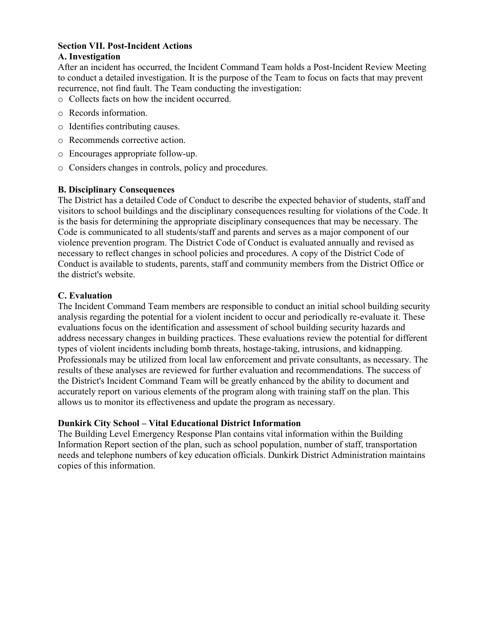#### **Section VII. Post-Incident Actions**

#### **A. Investigation**

After an incident has occurred, the Incident Command Team holds a Post-Incident Review Meeting to conduct a detailed investigation. It is the purpose of the Team to focus on facts that may prevent recurrence, not find fault. The Team conducting the investigation:

- o Collects facts on how the incident occurred.
- o Records information.
- o Identifies contributing causes.
- o Recommends corrective action.
- o Encourages appropriate follow-up.
- o Considers changes in controls, policy and procedures.

#### **B. Disciplinary Consequences**

The District has a detailed Code of Conduct to describe the expected behavior of students, staff and visitors to school buildings and the disciplinary consequences resulting for violations of the Code. It is the basis for determining the appropriate disciplinary consequences that may be necessary. The Code is communicated to all students/staff and parents and serves as a major component of our violence prevention program. The District Code of Conduct is evaluated annually and revised as necessary to reflect changes in school policies and procedures. A copy of the District Code of Conduct is available to students, parents, staff and community members from the District Office or the district's website.

#### **C. Evaluation**

The Incident Command Team members are responsible to conduct an initial school building security analysis regarding the potential for a violent incident to occur and periodically re-evaluate it. These evaluations focus on the identification and assessment of school building security hazards and address necessary changes in building practices. These evaluations review the potential for different types of violent incidents including bomb threats, hostage-taking, intrusions, and kidnapping. Professionals may be utilized from local law enforcement and private consultants, as necessary. The results of these analyses are reviewed for further evaluation and recommendations. The success of the District's Incident Command Team will be greatly enhanced by the ability to document and accurately report on various elements of the program along with training staff on the plan. This allows us to monitor its effectiveness and update the program as necessary.

#### **Dunkirk City School – Vital Educational District Information**

The Building Level Emergency Response Plan contains vital information within the Building Information Report section of the plan, such as school population, number of staff, transportation needs and telephone numbers of key education officials. Dunkirk District Administration maintains copies of this information.